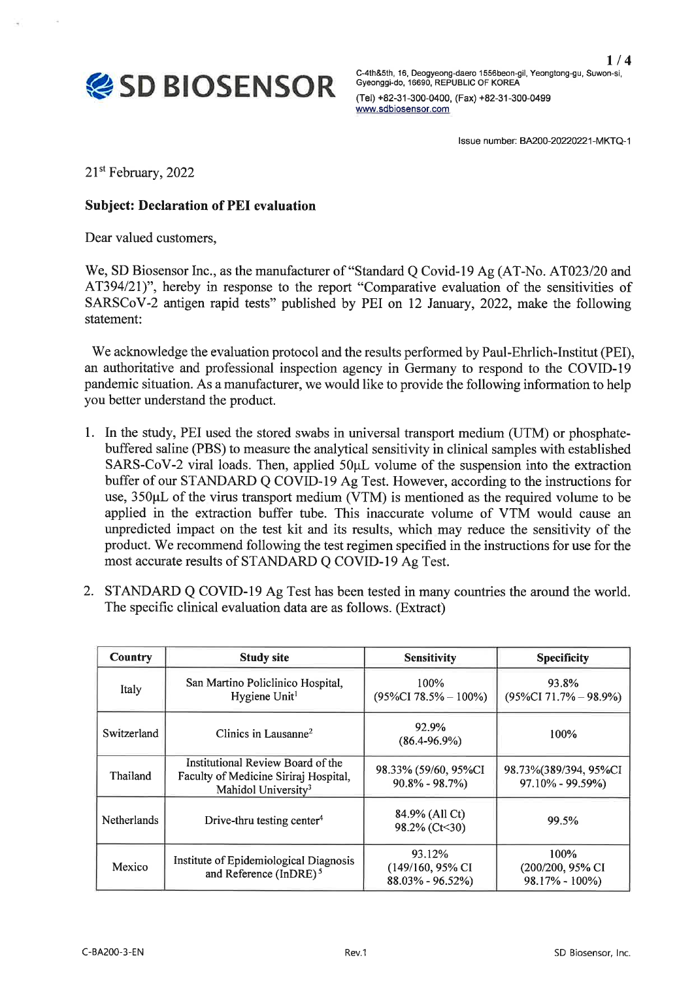$1/4$ 



C-4th&5th, 16, Deogyeong-daero 1556beon-gil, Yeongtong-gu, Suwon-si,<br>Gyeonggi-do, 16690, REPUBLIC OF KOREA (Tel) +82-31-300-0400, (Fax) +82-31-300-0499 www.sdbiosensor.com

Issue number: BA200-20220221-MKTQ-1

21<sup>st</sup> February, 2022

## **Subject: Declaration of PEI evaluation**

Dear valued customers,

We, SD Biosensor Inc., as the manufacturer of "Standard Q Covid-19 Ag (AT-No. AT023/20 and AT394/21)", hereby in response to the report "Comparative evaluation of the sensitivities of SARSCoV-2 antigen rapid tests" published by PEI on 12 January, 2022, make the following statement:

We acknowledge the evaluation protocol and the results performed by Paul-Ehrlich-Institut (PEI), an authoritative and professional inspection agency in Germany to respond to the COVID-19 pandemic situation. As a manufacturer, we would like to provide the following information to help you better understand the product.

- 1. In the study, PEI used the stored swabs in universal transport medium (UTM) or phosphatebuffered saline (PBS) to measure the analytical sensitivity in clinical samples with established SARS-CoV-2 viral loads. Then, applied 50µL volume of the suspension into the extraction buffer of our STANDARD Q COVID-19 Ag Test. However, according to the instructions for use, 350µL of the virus transport medium (VTM) is mentioned as the required volume to be applied in the extraction buffer tube. This inaccurate volume of VTM would cause an unpredicted impact on the test kit and its results, which may reduce the sensitivity of the product. We recommend following the test regimen specified in the instructions for use for the most accurate results of STANDARD Q COVID-19 Ag Test.
- 2. STANDARD Q COVID-19 Ag Test has been tested in many countries the around the world. The specific clinical evaluation data are as follows. (Extract)

| Country     | <b>Study site</b>                                                                                             | <b>Sensitivity</b>                                 | <b>Specificity</b>                               |  |
|-------------|---------------------------------------------------------------------------------------------------------------|----------------------------------------------------|--------------------------------------------------|--|
| Italy       | San Martino Policlinico Hospital,<br>Hygiene Unit <sup>1</sup>                                                | 100%<br>$(95\%CI 78.5\% - 100\%)$                  | 93.8%<br>$(95\%CI 71.7\% - 98.9\%)$              |  |
| Switzerland | Clinics in Lausanne <sup>2</sup>                                                                              | 92.9%<br>$(86.4 - 96.9\%)$                         | 100%                                             |  |
| Thailand    | Institutional Review Board of the<br>Faculty of Medicine Siriraj Hospital,<br>Mahidol University <sup>3</sup> | 98.33% (59/60, 95%CI)<br>$90.8\% - 98.7\%)$        | 98.73%(389/394, 95%CI<br>$97.10\% - 99.59\%)$    |  |
| Netherlands | Drive-thru testing center <sup>4</sup>                                                                        | 84.9% (All Ct)<br>98.2% (Ct<30)                    | 99.5%                                            |  |
| Mexico      | Institute of Epidemiological Diagnosis<br>and Reference (InDRE) <sup>5</sup>                                  | 93.12%<br>(149/160, 95% CI<br>$88.03\% - 96.52\%)$ | $100\%$<br>(200/200, 95% CI<br>$98.17\% - 100\%$ |  |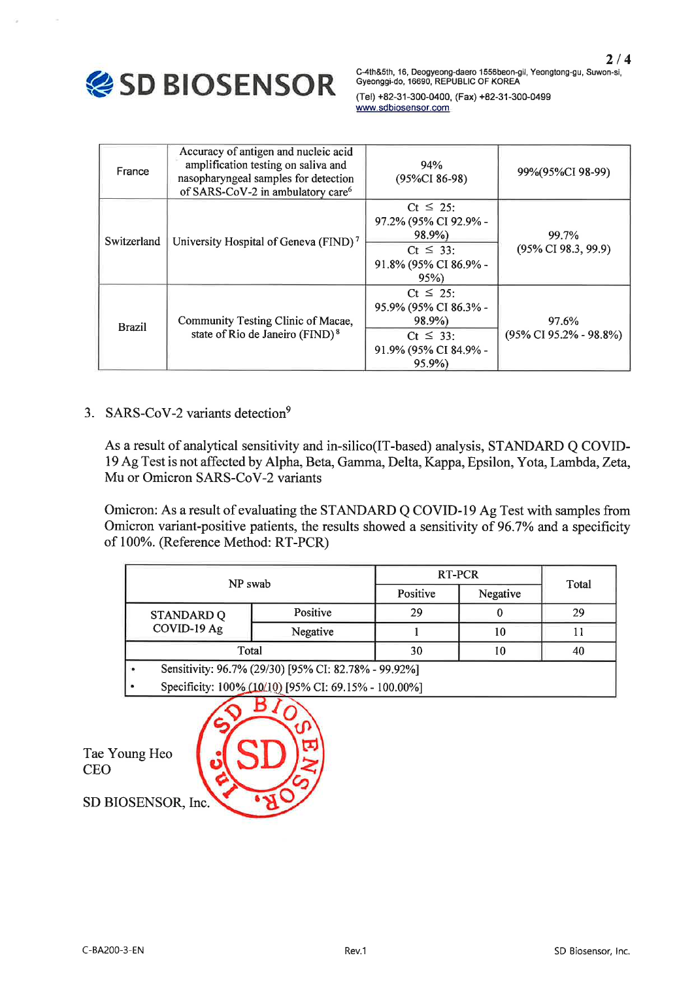

C-4th&5th, 16, Deogyeong-daero 1556beon-gil, Yeongtong-gu, Suwon-si, Gyeonggi-do, 16690, REPUBLIC OF KOREA

(Tel) +82-31-300-0400, (Fax) +82-31-300-0499 www.sdbiosensor.com

| France        | Accuracy of antigen and nucleic acid<br>amplification testing on saliva and<br>nasopharyngeal samples for detection<br>of SARS-CoV-2 in ambulatory care <sup>6</sup> | 94%<br>(95%CI 86-98)                                                                                     | 99%(95%CI 98-99)                              |  |
|---------------|----------------------------------------------------------------------------------------------------------------------------------------------------------------------|----------------------------------------------------------------------------------------------------------|-----------------------------------------------|--|
| Switzerland   | University Hospital of Geneva (FIND) <sup>7</sup>                                                                                                                    | $Ct \leq 25$ :<br>97.2% (95% CI 92.9% -<br>98.9%)<br>$Ct \leq 33$ :<br>91.8% (95% CI 86.9% -<br>95%      | 99.7%<br>$(95\% \text{ CI } 98.3, 99.9)$      |  |
| <b>Brazil</b> | Community Testing Clinic of Macae,<br>state of Rio de Janeiro (FIND) <sup>8</sup>                                                                                    | $Ct \leq 25$ :<br>95.9% (95% CI 86.3% -<br>98.9%)<br>$Ct \leq 33$ :<br>91.9% (95% CI 84.9% -<br>$95.9\%$ | 97.6%<br>$(95\% \text{ CI } 95.2\% - 98.8\%)$ |  |

## 3. SARS-CoV-2 variants detection<sup>9</sup>

As a result of analytical sensitivity and in-silico(IT-based) analysis, STANDARD Q COVID-19 Ag Test is not affected by Alpha, Beta, Gamma, Delta, Kappa, Epsilon, Yota, Lambda, Zeta, Mu or Omicron SARS-CoV-2 variants

Omicron: As a result of evaluating the STANDARD Q COVID-19 Ag Test with samples from Omicron variant-positive patients, the results showed a sensitivity of 96.7% and a specificity of 100%. (Reference Method: RT-PCR)

| NP swab                                              | <b>RT-PCR</b>        | Total |    |    |  |
|------------------------------------------------------|----------------------|-------|----|----|--|
|                                                      | Positive<br>Negative |       |    |    |  |
| <b>STANDARD Q</b>                                    | Positive             | 29    |    | 29 |  |
| COVID-19 Ag                                          | Negative             |       | 10 |    |  |
| Total                                                | 30                   | 10    | 40 |    |  |
| Sensitivity: 96.7% (29/30) [95% CI: 82.78% - 99.92%] |                      |       |    |    |  |
| Specificity: 100% (10/10) [95% CI: 69.15% - 100.00%] |                      |       |    |    |  |

Tae Young Heo **CEO** 



SD BIOSENSOR, Inc.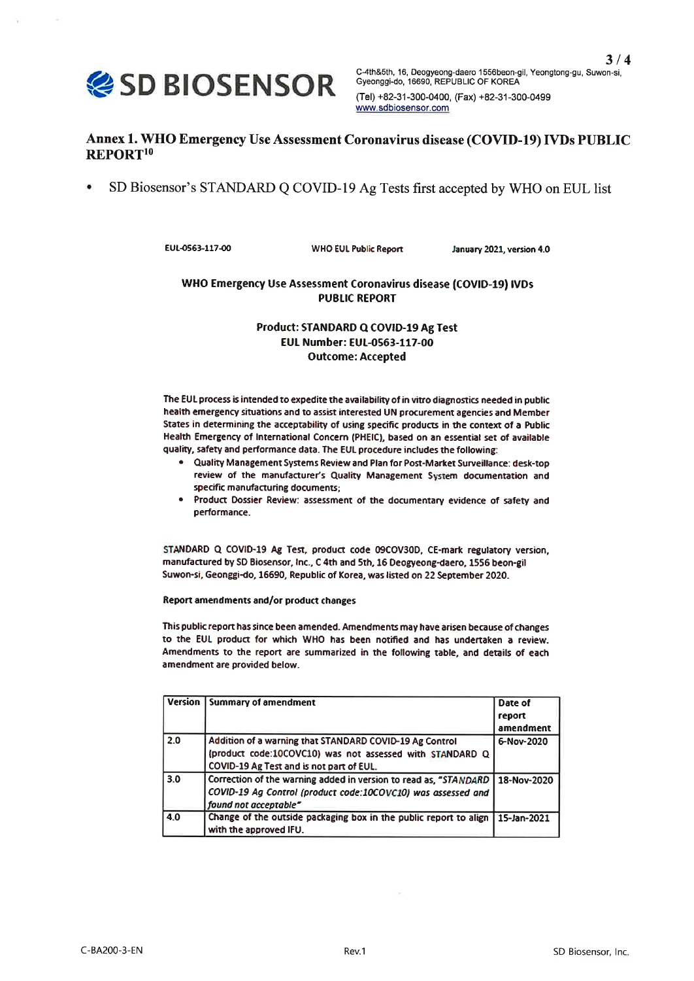

C-4th&5th, 16, Deogyeong-daero 1556beon-gil, Yeongtong-gu, Suwon-si, Gyeonggi-do, 16690, REPUBLIC OF KOREA (Tel) +82-31-300-0400, (Fax) +82-31-300-0499 www.sdbiosensor.com

## Annex 1. WHO Emergency Use Assessment Coronavirus disease (COVID-19) IVDs PUBLIC REPORT<sup>10</sup>

SD Biosensor's STANDARD Q COVID-19 Ag Tests first accepted by WHO on EUL list  $\bullet$ 

EUL-0563-117-00

**WHO EUL Public Report** 

January 2021, version 4.0

### WHO Emergency Use Assessment Coronavirus disease (COVID-19) IVDs **PUBLIC REPORT**

### Product: STANDARD Q COVID-19 Ag Test EUL Number: EUL-0563-117-00 **Outcome: Accepted**

The EUL process is intended to expedite the availability of in vitro diagnostics needed in public health emergency situations and to assist interested UN procurement agencies and Member States in determining the acceptability of using specific products in the context of a Public Health Emergency of International Concern (PHEIC), based on an essential set of available quality, safety and performance data. The EUL procedure includes the following:

- . Quality Management Systems Review and Plan for Post-Market Surveillance: desk-top review of the manufacturer's Quality Management System documentation and specific manufacturing documents;
- . Product Dossier Review: assessment of the documentary evidence of safety and performance.

STANDARD Q COVID-19 Ag Test, product code 09COV30D, CE-mark regulatory version, manufactured by SD Biosensor, Inc., C 4th and 5th, 16 Deogyeong-daero, 1556 beon-gil Suwon-si, Geonggi-do, 16690, Republic of Korea, was listed on 22 September 2020.

Report amendments and/or product changes

This public report has since been amended. Amendments may have arisen because of changes to the EUL product for which WHO has been notified and has undertaken a review. Amendments to the report are summarized in the following table, and details of each amendment are provided below.

| <b>Version</b> I | <b>Summary of amendment</b>                                       | Date of     |
|------------------|-------------------------------------------------------------------|-------------|
|                  |                                                                   | report      |
|                  |                                                                   | amendment   |
| 2.0              | Addition of a warning that STANDARD COVID-19 Ag Control           | 6-Nov-2020  |
|                  | (product code:10COVC10) was not assessed with STANDARD Q          |             |
|                  | COVID-19 Ag Test and is not part of EUL.                          |             |
| 3.0              | Correction of the warning added in version to read as, "STANDARD  | 18-Nov-2020 |
|                  | COVID-19 Ag Control (product code:10COVC10) was assessed and      |             |
|                  | found not acceptable"                                             |             |
| 4.0              | Change of the outside packaging box in the public report to align | 15-Jan-2021 |
|                  | with the approved IFU.                                            |             |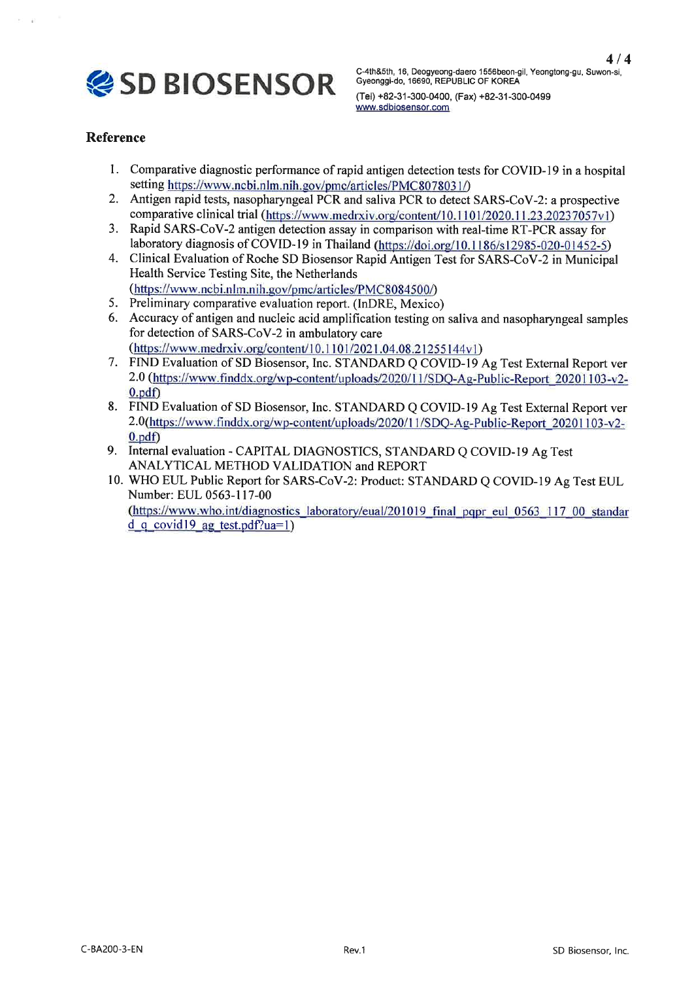

(Tel) +82-31-300-0400, (Fax) +82-31-300-0499 www.sdbiosensor.com

## **Reference**

- Comparative diagnostic performance of rapid antigen detection tests for COVID-19 in a hospital setting https://www.ncbi.nlm.nih.gov/pmc/articles/PMC8078031/)
- $2.$ Antigen rapid tests, nasopharyngeal PCR and saliva PCR to detect SARS-CoV-2: a prospective comparative clinical trial (https://www.medrxiv.org/content/10.1101/2020.11.23.20237057v1)
- 3. Rapid SARS-CoV-2 antigen detection assay in comparison with real-time RT-PCR assay for laboratory diagnosis of COVID-19 in Thailand (https://doi.org/10.1186/s12985-020-01452-5)
- 4. Clinical Evaluation of Roche SD Biosensor Rapid Antigen Test for SARS-CoV-2 in Municipal Health Service Testing Site, the Netherlands
- (https://www.ncbi.nlm.nih.gov/pmc/articles/PMC8084500/) 5. Preliminary comparative evaluation report. (InDRE, Mexico)
- 6. Accuracy of antigen and nucleic acid amplification testing on saliva and nasopharyngeal samples for detection of SARS-CoV-2 in ambulatory care (https://www.medrxiv.org/content/10.1101/2021.04.08.21255144v1)
- 7. FIND Evaluation of SD Biosensor, Inc. STANDARD Q COVID-19 Ag Test External Report ver 2.0 (https://www.finddx.org/wp-content/uploads/2020/11/SDQ-Ag-Public-Report 20201103-v2- $0.pdf$
- 8. FIND Evaluation of SD Biosensor, Inc. STANDARD Q COVID-19 Ag Test External Report ver 2.0(https://www.finddx.org/wp-content/uploads/2020/11/SDQ-Ag-Public-Report 20201103-v2- $0.pdf$
- 9. Internal evaluation CAPITAL DIAGNOSTICS, STANDARD Q COVID-19 Ag Test ANALYTICAL METHOD VALIDATION and REPORT
- 10. WHO EUL Public Report for SARS-CoV-2: Product: STANDARD Q COVID-19 Ag Test EUL Number: EUL 0563-117-00 (https://www.who.int/diagnostics laboratory/eual/201019 final pqpr eul 0563 117 00 standar  $d$  q covid 19 ag test.pdf?ua=1)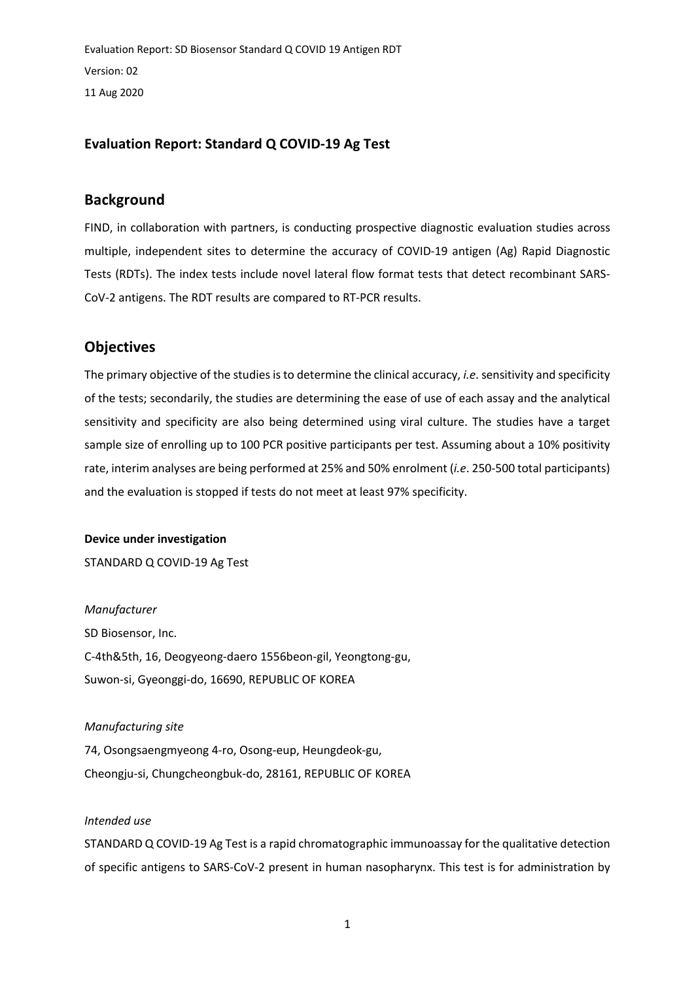Evaluation Report: SD Biosensor Standard Q COVID 19 Antigen RDT Version: 02 11 Aug 2020

## **Evaluation Report: Standard Q COVID-19 Ag Test**

## **Background**

FIND, in collaboration with partners, is conducting prospective diagnostic evaluation studies across multiple, independent sites to determine the accuracy of COVID-19 antigen (Ag) Rapid Diagnostic Tests (RDTs). The index tests include novel lateral flow format tests that detect recombinant SARS-CoV-2 antigens. The RDT results are compared to RT-PCR results.

## **Objectives**

The primary objective of the studies is to determine the clinical accuracy, *i.e*. sensitivity and specificity of the tests; secondarily, the studies are determining the ease of use of each assay and the analytical sensitivity and specificity are also being determined using viral culture. The studies have a target sample size of enrolling up to 100 PCR positive participants per test. Assuming about a 10% positivity rate, interim analyses are being performed at 25% and 50% enrolment (*i.e*. 250-500 total participants) and the evaluation is stopped if tests do not meet at least 97% specificity.

#### **Device under investigation**

STANDARD Q COVID-19 Ag Test

*Manufacturer* SD Biosensor, Inc. C-4th&5th, 16, Deogyeong-daero 1556beon-gil, Yeongtong-gu, Suwon-si, Gyeonggi-do, 16690, REPUBLIC OF KOREA

Cheongju-si, Chungcheongbuk-do, 28161, REPUBLIC OF KOREA

*Manufacturing site* 74, Osongsaengmyeong 4-ro, Osong-eup, Heungdeok-gu,

### *Intended use*

STANDARD Q COVID-19 Ag Test is a rapid chromatographic immunoassay for the qualitative detection of specific antigens to SARS-CoV-2 present in human nasopharynx. This test is for administration by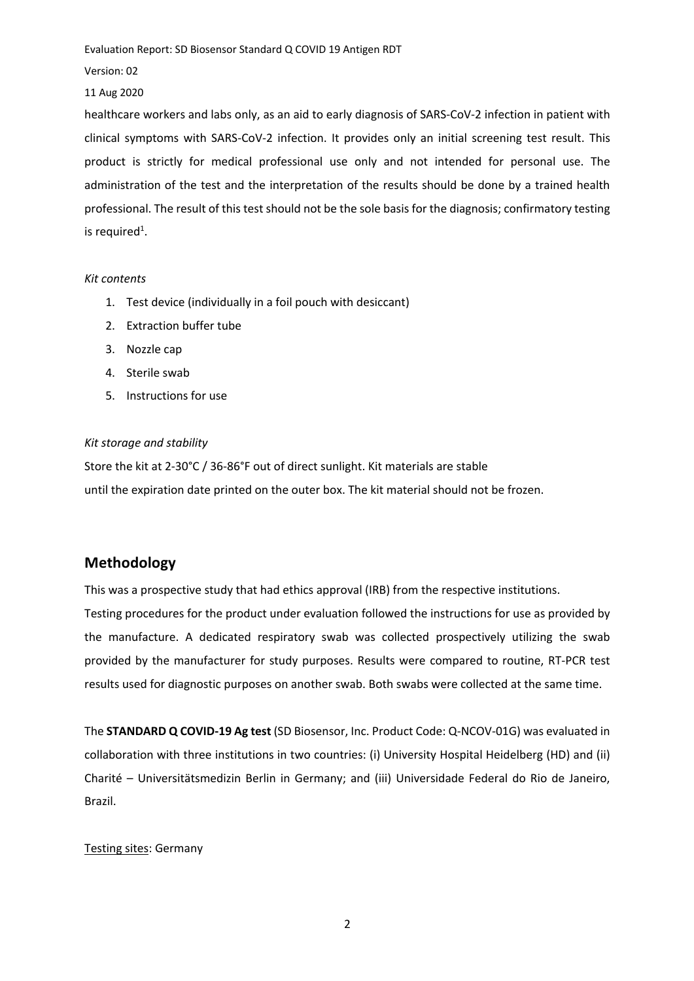Version: 02

11 Aug 2020

healthcare workers and labs only, as an aid to early diagnosis of SARS-CoV-2 infection in patient with clinical symptoms with SARS-CoV-2 infection. It provides only an initial screening test result. This product is strictly for medical professional use only and not intended for personal use. The administration of the test and the interpretation of the results should be done by a trained health professional. The result of this test should not be the sole basis for the diagnosis; confirmatory testing is required<sup>1</sup>.

### *Kit contents*

- 1. Test device (individually in a foil pouch with desiccant)
- 2. Extraction buffer tube
- 3. Nozzle cap
- 4. Sterile swab
- 5. Instructions for use

## *Kit storage and stability*

Store the kit at 2-30°C / 36-86°F out of direct sunlight. Kit materials are stable until the expiration date printed on the outer box. The kit material should not be frozen.

# **Methodology**

This was a prospective study that had ethics approval (IRB) from the respective institutions. Testing procedures for the product under evaluation followed the instructions for use as provided by the manufacture. A dedicated respiratory swab was collected prospectively utilizing the swab provided by the manufacturer for study purposes. Results were compared to routine, RT-PCR test results used for diagnostic purposes on another swab. Both swabs were collected at the same time.

The **STANDARD Q COVID-19 Ag test** (SD Biosensor, Inc. Product Code: Q-NCOV-01G) was evaluated in collaboration with three institutions in two countries: (i) University Hospital Heidelberg (HD) and (ii) Charité – Universitätsmedizin Berlin in Germany; and (iii) Universidade Federal do Rio de Janeiro, Brazil.

### Testing sites: Germany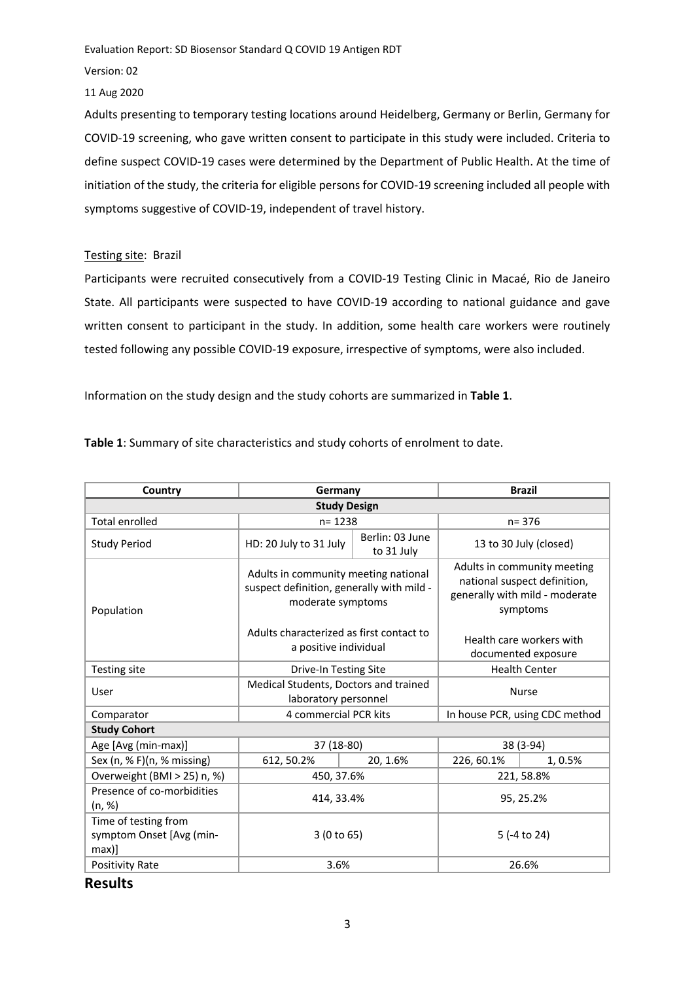Version: 02

11 Aug 2020

Adults presenting to temporary testing locations around Heidelberg, Germany or Berlin, Germany for COVID-19 screening, who gave written consent to participate in this study were included. Criteria to define suspect COVID-19 cases were determined by the Department of Public Health. At the time of initiation of the study, the criteria for eligible persons for COVID-19 screening included all people with symptoms suggestive of COVID-19, independent of travel history.

## Testing site: Brazil

Participants were recruited consecutively from a COVID-19 Testing Clinic in Macaé, Rio de Janeiro State. All participants were suspected to have COVID-19 according to national guidance and gave written consent to participant in the study. In addition, some health care workers were routinely tested following any possible COVID-19 exposure, irrespective of symptoms, were also included.

Information on the study design and the study cohorts are summarized in **Table 1**.

**Table 1**: Summary of site characteristics and study cohorts of enrolment to date.

| Country                                                      | Germany                                                                                                |                               | <b>Brazil</b>                                                                                             |         |  |  |  |  |
|--------------------------------------------------------------|--------------------------------------------------------------------------------------------------------|-------------------------------|-----------------------------------------------------------------------------------------------------------|---------|--|--|--|--|
| <b>Study Design</b>                                          |                                                                                                        |                               |                                                                                                           |         |  |  |  |  |
| <b>Total enrolled</b>                                        | $n = 1238$                                                                                             |                               | $n = 376$                                                                                                 |         |  |  |  |  |
| <b>Study Period</b>                                          | HD: 20 July to 31 July                                                                                 | Berlin: 03 June<br>to 31 July | 13 to 30 July (closed)                                                                                    |         |  |  |  |  |
| Population                                                   | Adults in community meeting national<br>suspect definition, generally with mild -<br>moderate symptoms |                               | Adults in community meeting<br>national suspect definition,<br>generally with mild - moderate<br>symptoms |         |  |  |  |  |
|                                                              | Adults characterized as first contact to<br>a positive individual                                      |                               | Health care workers with<br>documented exposure                                                           |         |  |  |  |  |
| Testing site                                                 | Drive-In Testing Site                                                                                  |                               | <b>Health Center</b>                                                                                      |         |  |  |  |  |
| User                                                         | Medical Students, Doctors and trained<br>laboratory personnel                                          |                               | <b>Nurse</b>                                                                                              |         |  |  |  |  |
| Comparator                                                   | 4 commercial PCR kits                                                                                  |                               | In house PCR, using CDC method                                                                            |         |  |  |  |  |
| <b>Study Cohort</b>                                          |                                                                                                        |                               |                                                                                                           |         |  |  |  |  |
| Age [Avg (min-max)]                                          | 37 (18-80)                                                                                             |                               | 38 (3-94)                                                                                                 |         |  |  |  |  |
| Sex (n, % F)(n, % missing)                                   | 612, 50.2%                                                                                             | 20, 1.6%                      | 226, 60.1%                                                                                                | 1, 0.5% |  |  |  |  |
| Overweight (BMI > 25) n, %)                                  | 450, 37.6%                                                                                             |                               | 221, 58.8%                                                                                                |         |  |  |  |  |
| Presence of co-morbidities<br>(n, %)                         | 414, 33.4%                                                                                             |                               | 95, 25.2%                                                                                                 |         |  |  |  |  |
| Time of testing from<br>symptom Onset [Avg (min-<br>$max)$ ] | 3 (0 to 65)                                                                                            |                               | 5 (-4 to 24)                                                                                              |         |  |  |  |  |
| <b>Positivity Rate</b>                                       | 3.6%                                                                                                   |                               |                                                                                                           | 26.6%   |  |  |  |  |

**Results**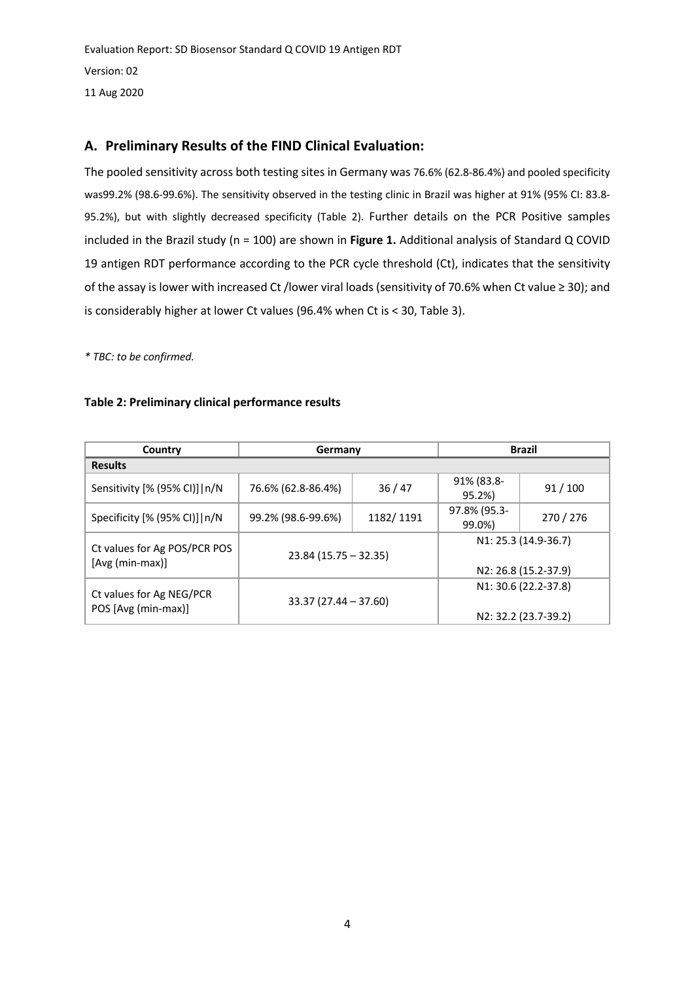Evaluation Report: SD Biosensor Standard Q COVID 19 Antigen RDT Version: 02 11 Aug 2020

# **A. Preliminary Results of the FIND Clinical Evaluation:**

The pooled sensitivity across both testing sites in Germany was 76.6% (62.8-86.4%) and pooled specificity was99.2% (98.6-99.6%). The sensitivity observed in the testing clinic in Brazil was higher at 91% (95% CI: 83.8- 95.2%), but with slightly decreased specificity (Table 2). Further details on the PCR Positive samples included in the Brazil study (n = 100) are shown in **Figure 1.** Additional analysis of Standard Q COVID 19 antigen RDT performance according to the PCR cycle threshold (Ct), indicates that the sensitivity of the assay is lower with increased Ct /lower viral loads (sensitivity of 70.6% when Ct value ≥ 30); and is considerably higher at lower Ct values (96.4% when Ct is < 30, Table 3).

*\* TBC: to be confirmed.*

## **Table 2: Preliminary clinical performance results**

| Country                                         | Germany                 |           | <b>Brazil</b>                                |                                              |  |
|-------------------------------------------------|-------------------------|-----------|----------------------------------------------|----------------------------------------------|--|
| <b>Results</b>                                  |                         |           |                                              |                                              |  |
| Sensitivity [% (95% CI)]   n/N                  | 76.6% (62.8-86.4%)      | 36/47     | 91% (83.8-<br>95.2%)                         | 91/100                                       |  |
| Specificity [% (95% CI)]   n/N                  | 99.2% (98.6-99.6%)      | 1182/1191 |                                              | 270/276                                      |  |
| Ct values for Ag POS/PCR POS<br>[Avg (min-max)] | $23.84$ (15.75 – 32.35) |           |                                              | N1: 25.3 (14.9-36.7)<br>N2: 26.8 (15.2-37.9) |  |
| Ct values for Ag NEG/PCR<br>POS [Avg (min-max)] | $33.37(27.44 - 37.60)$  |           | N1: 30.6 (22.2-37.8)<br>N2: 32.2 (23.7-39.2) |                                              |  |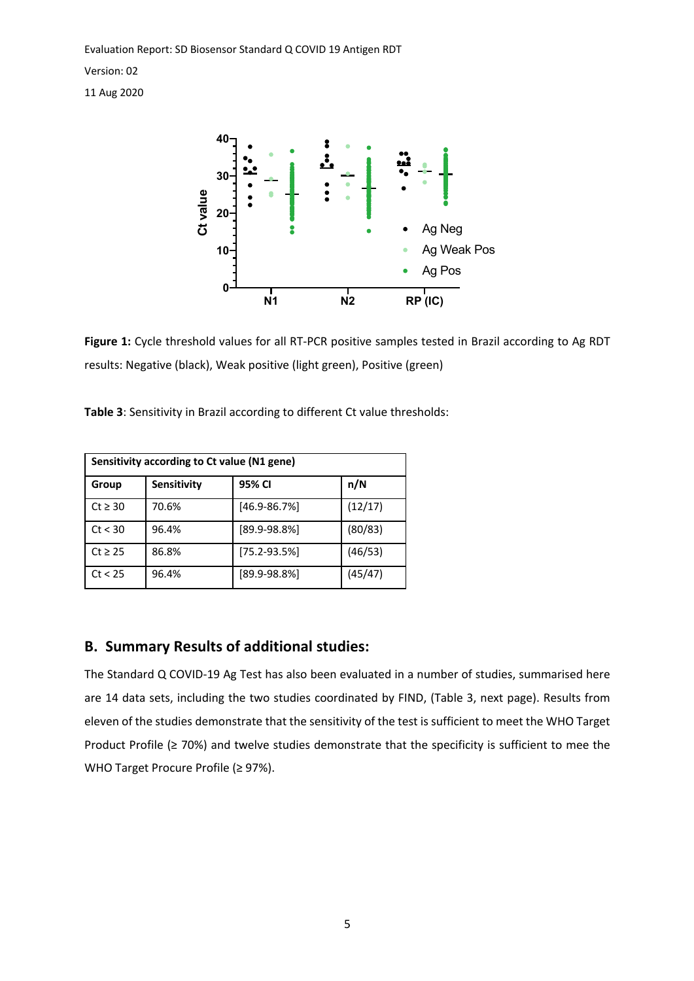Version: 02

11 Aug 2020



**Figure 1:** Cycle threshold values for all RT-PCR positive samples tested in Brazil according to Ag RDT results: Negative (black), Weak positive (light green), Positive (green)

**Table 3**: Sensitivity in Brazil according to different Ct value thresholds:

| Sensitivity according to Ct value (N1 gene) |             |                   |         |  |  |  |
|---------------------------------------------|-------------|-------------------|---------|--|--|--|
| Group                                       | Sensitivity | 95% CI            | n/N     |  |  |  |
| $Ct \geq 30$                                | 70.6%       | $[46.9 - 86.7%]$  | (12/17) |  |  |  |
| Ct < 30                                     | 96.4%       | $[89.9 - 98.8\%]$ | (80/83) |  |  |  |
| $Ct \geq 25$                                | 86.8%       | $[75.2 - 93.5%]$  | (46/53) |  |  |  |
| Ct < 25                                     | 96.4%       | $[89.9 - 98.8\%]$ | (45/47) |  |  |  |

# **B. Summary Results of additional studies:**

The Standard Q COVID-19 Ag Test has also been evaluated in a number of studies, summarised here are 14 data sets, including the two studies coordinated by FIND, (Table 3, next page). Results from eleven of the studies demonstrate that the sensitivity of the test is sufficient to meet the WHO Target Product Profile (≥ 70%) and twelve studies demonstrate that the specificity is sufficient to mee the WHO Target Procure Profile (≥ 97%).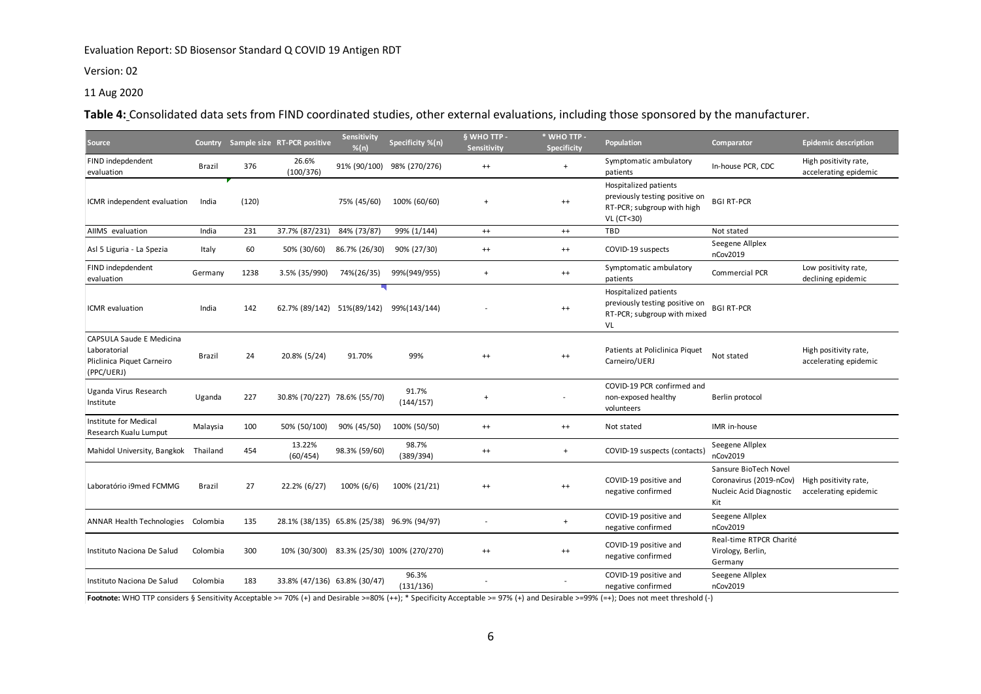#### Version: 02

### 11 Aug 2020

**Table 4:** Consolidated data sets from FIND coordinated studies, other external evaluations, including those sponsored by the manufacturer.

| Source                                                                               |               |       | Country Sample size RT-PCR positive        | Sensitivity<br>$%$ (n) | Specificity %(n)             | § WHO TTP -<br>Sensitivity | * WHO TTP -<br><b>Specificity</b> | Population                                                                                          | Comparator                                                                         | <b>Epidemic description</b>                    |
|--------------------------------------------------------------------------------------|---------------|-------|--------------------------------------------|------------------------|------------------------------|----------------------------|-----------------------------------|-----------------------------------------------------------------------------------------------------|------------------------------------------------------------------------------------|------------------------------------------------|
| FIND indepdendent<br>evaluation                                                      | <b>Brazil</b> | 376   | 26.6%<br>(100/376)                         |                        | 91% (90/100) 98% (270/276)   | $^{++}$                    | $\overline{1}$                    | Symptomatic ambulatory<br>patients                                                                  | In-house PCR, CDC                                                                  | High positivity rate,<br>accelerating epidemic |
| ICMR independent evaluation                                                          | India         | (120) |                                            | 75% (45/60)            | 100% (60/60)                 | $\overline{+}$             | $^{++}$                           | Hospitalized patients<br>previously testing positive on<br>RT-PCR; subgroup with high<br>VL (CT<30) | <b>BGI RT-PCR</b>                                                                  |                                                |
| AllMS evaluation                                                                     | India         | 231   | 37.7% (87/231)                             | 84% (73/87)            | 99% (1/144)                  | $^{++}$                    | $^{++}$                           | TBD                                                                                                 | Not stated                                                                         |                                                |
| Asl 5 Liguria - La Spezia                                                            | Italy         | 60    | 50% (30/60)                                | 86.7% (26/30)          | 90% (27/30)                  | $^{++}$                    | $^{++}$                           | COVID-19 suspects                                                                                   | Seegene Allplex<br>nCov2019                                                        |                                                |
| FIND indepdendent<br>evaluation                                                      | Germany       | 1238  | 3.5% (35/990)                              | 74%(26/35)             | 99%(949/955)                 | $+$                        | $^{++}$                           | Symptomatic ambulatory<br>patients                                                                  | Commercial PCR                                                                     | Low positivity rate,<br>declining epidemic     |
| ICMR evaluation                                                                      | India         | 142   | 62.7% (89/142)                             | 51%(89/142)            | 99%(143/144)                 |                            | $^{++}$                           | Hospitalized patients<br>previously testing positive on<br>RT-PCR; subgroup with mixed<br>VL        | <b>BGI RT-PCR</b>                                                                  |                                                |
| CAPSULA Saude E Medicina<br>Laboratorial<br>Pliclinica Piquet Carneiro<br>(PPC/UERJ) | Brazil        | 24    | 20.8% (5/24)                               | 91.70%                 | 99%                          | $^{++}$                    | $^{++}$                           | Patients at Policlinica Piquet<br>Carneiro/UERJ                                                     | Not stated                                                                         | High positivity rate,<br>accelerating epidemic |
| Uganda Virus Research<br>Institute                                                   | Uganda        | 227   | 30.8% (70/227) 78.6% (55/70)               |                        | 91.7%<br>(144/157)           | $\ddot{}$                  |                                   | COVID-19 PCR confirmed and<br>non-exposed healthy<br>volunteers                                     | Berlin protocol                                                                    |                                                |
| Institute for Medical<br>Research Kualu Lumput                                       | Malaysia      | 100   | 50% (50/100)                               | 90% (45/50)            | 100% (50/50)                 | $^{++}$                    | $^{++}$                           | Not stated                                                                                          | IMR in-house                                                                       |                                                |
| Mahidol University, Bangkok Thailand                                                 |               | 454   | 13.22%<br>(60/454)                         | 98.3% (59/60)          | 98.7%<br>(389/394)           | $^{++}$                    | $+$                               | COVID-19 suspects (contacts)                                                                        | Seegene Allplex<br>nCov2019                                                        |                                                |
| Laboratório i9med FCMMG                                                              | <b>Brazil</b> | 27    | 22.2% (6/27)                               | 100% (6/6)             | 100% (21/21)                 | $^{++}$                    | $^{++}$                           | COVID-19 positive and<br>negative confirmed                                                         | Sansure BioTech Novel<br>Coronavirus (2019-nCov)<br>Nucleic Acid Diagnostic<br>Kit | High positivity rate,<br>accelerating epidemic |
| ANNAR Health Technologies Colombia                                                   |               | 135   | 28.1% (38/135) 65.8% (25/38) 96.9% (94/97) |                        |                              |                            | $\overline{+}$                    | COVID-19 positive and<br>negative confirmed                                                         | Seegene Allplex<br>nCov2019                                                        |                                                |
| Instituto Naciona De Salud                                                           | Colombia      | 300   | 10% (30/300)                               |                        | 83.3% (25/30) 100% (270/270) | $^{++}$                    | $^{++}$                           | COVID-19 positive and<br>negative confirmed                                                         | Real-time RTPCR Charité<br>Virology, Berlin,<br>Germany                            |                                                |
| Instituto Naciona De Salud                                                           | Colombia      | 183   | 33.8% (47/136) 63.8% (30/47)               |                        | 96.3%<br>(131/136)           |                            |                                   | COVID-19 positive and<br>negative confirmed                                                         | Seegene Allplex<br>nCov2019                                                        |                                                |

Footnote: WHO TTP considers § Sensitivity Acceptable >= 70% (+) and Desirable >=80% (++); \* Specificity Acceptable >= 97% (+) and Desirable >=99% (=+); Does not meet threshold (-)